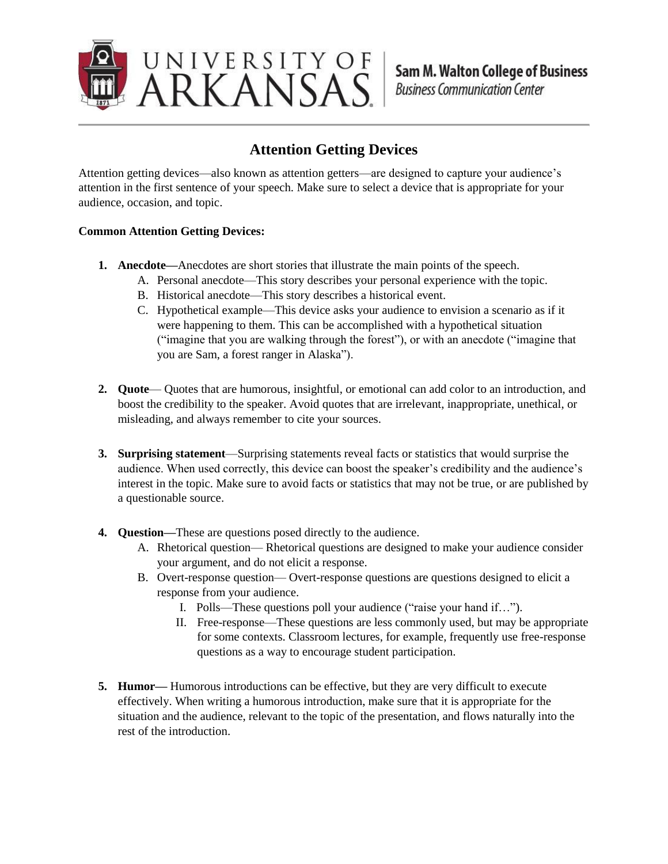

## **Attention Getting Devices**

Attention getting devices—also known as attention getters—are designed to capture your audience's attention in the first sentence of your speech. Make sure to select a device that is appropriate for your audience, occasion, and topic.

## **Common Attention Getting Devices:**

- **1. Anecdote—**Anecdotes are short stories that illustrate the main points of the speech.
	- A. Personal anecdote—This story describes your personal experience with the topic.
	- B. Historical anecdote—This story describes a historical event.
	- C. Hypothetical example—This device asks your audience to envision a scenario as if it were happening to them. This can be accomplished with a hypothetical situation ("imagine that you are walking through the forest"), or with an anecdote ("imagine that you are Sam, a forest ranger in Alaska").
- **2. Quote** Quotes that are humorous, insightful, or emotional can add color to an introduction, and boost the credibility to the speaker. Avoid quotes that are irrelevant, inappropriate, unethical, or misleading, and always remember to cite your sources.
- **3. Surprising statement**—Surprising statements reveal facts or statistics that would surprise the audience. When used correctly, this device can boost the speaker's credibility and the audience's interest in the topic. Make sure to avoid facts or statistics that may not be true, or are published by a questionable source.
- **4. Question—**These are questions posed directly to the audience.
	- A. Rhetorical question— Rhetorical questions are designed to make your audience consider your argument, and do not elicit a response.
	- B. Overt-response question— Overt-response questions are questions designed to elicit a response from your audience.
		- I. Polls—These questions poll your audience ("raise your hand if…").
		- II. Free-response—These questions are less commonly used, but may be appropriate for some contexts. Classroom lectures, for example, frequently use free-response questions as a way to encourage student participation.
- **5. Humor—** Humorous introductions can be effective, but they are very difficult to execute effectively. When writing a humorous introduction, make sure that it is appropriate for the situation and the audience, relevant to the topic of the presentation, and flows naturally into the rest of the introduction.